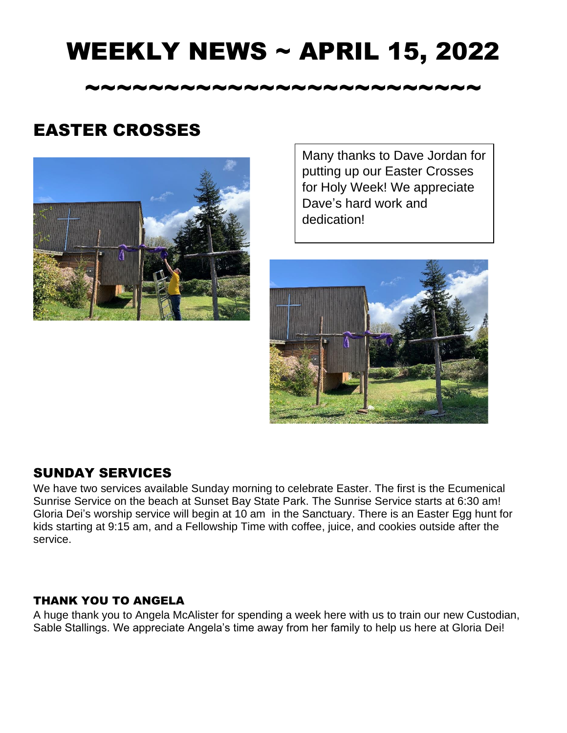## WEEKLY NEWS ~ APRIL 15, 2022

~~~~~~~~~~~~~~~~~~~~~~~~~

### EASTER CROSSES



Many thanks to Dave Jordan for putting up our Easter Crosses for Holy Week! We appreciate Dave's hard work and dedication!



#### SUNDAY SERVICES

We have two services available Sunday morning to celebrate Easter. The first is the Ecumenical Sunrise Service on the beach at Sunset Bay State Park. The Sunrise Service starts at 6:30 am! Gloria Dei's worship service will begin at 10 am in the Sanctuary. There is an Easter Egg hunt for kids starting at 9:15 am, and a Fellowship Time with coffee, juice, and cookies outside after the service.

#### THANK YOU TO ANGELA

A huge thank you to Angela McAlister for spending a week here with us to train our new Custodian, Sable Stallings. We appreciate Angela's time away from her family to help us here at Gloria Dei!